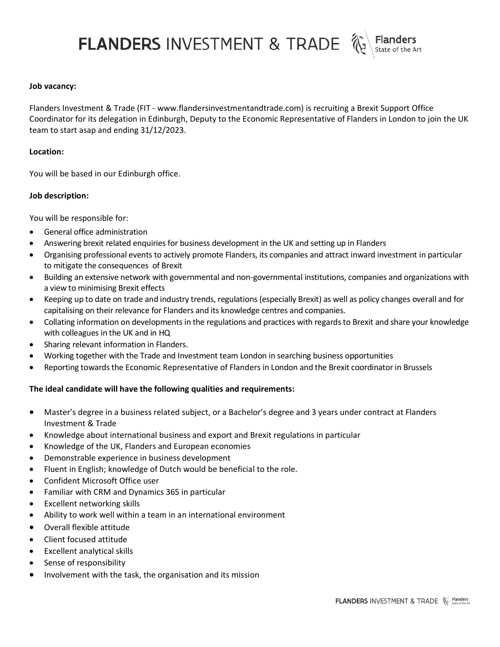FLANDERS INVESTMENT & TRADE

# **Job vacancy:**

Flanders Investment & Trade (FIT - www.flandersinvestmentandtrade.com) is recruiting a Brexit Support Office Coordinator for its delegation in Edinburgh, Deputy to the Economic Representative of Flanders in London to join the UK team to start asap and ending 31/12/2023.

## **Location:**

You will be based in our Edinburgh office.

# **Job description:**

You will be responsible for:

- General office administration
- Answering brexit related enquiries for business development in the UK and setting up in Flanders
- Organising professional events to actively promote Flanders, its companies and attract inward investment in particular to mitigate the consequences of Brexit
- Building an extensive network with governmental and non-governmental institutions, companies and organizations with a view to minimising Brexit effects
- Keeping up to date on trade and industry trends, regulations (especially Brexit) as well as policy changes overall and for capitalising on their relevance for Flanders and its knowledge centres and companies.
- Collating information on developments in the regulations and practices with regards to Brexit and share your knowledge with colleagues in the UK and in HQ
- Sharing relevant information in Flanders.
- Working together with the Trade and Investment team London in searching business opportunities
- Reporting towards the Economic Representative of Flanders in London and the Brexit coordinator in Brussels

# **The ideal candidate will have the following qualities and requirements:**

- Master's degree in a business related subject, or a Bachelor's degree and 3 years under contract at Flanders Investment & Trade
- Knowledge about international business and export and Brexit regulations in particular
- Knowledge of the UK, Flanders and European economies
- Demonstrable experience in business development
- Fluent in English; knowledge of Dutch would be beneficial to the role.
- Confident Microsoft Office user
- Familiar with CRM and Dynamics 365 in particular
- Excellent networking skills
- Ability to work well within a team in an international environment
- Overall flexible attitude
- Client focused attitude
- Excellent analytical skills
- Sense of responsibility
- Involvement with the task, the organisation and its mission